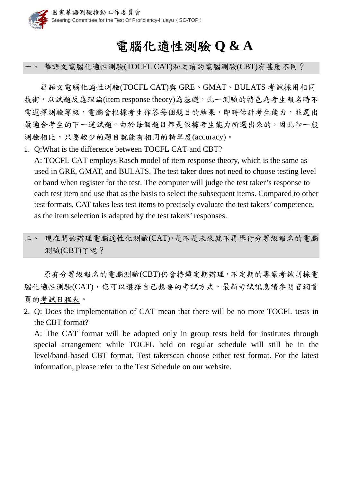

## 電腦化適性測驗 **Q & A**

一、 華語文電腦化適性測驗(TOCFL CAT)和之前的電腦測驗(CBT)有甚麼不同?

華語文電腦化適性測驗(TOCFL CAT)與 GRE、GMAT、BULATS 考試採用相同 技術,以試題反應理論(item response theory)為基礎,此一測驗的特色為考生報名時不 需選擇測驗等級, 電腦會根據考生作答每個題目的結果, 即時估計考生能力, 並選出 最適合考生的下一道試題。由於每個題目都是依據考生能力所選出來的,因此和一般 測驗相比,只要較少的題目就能有相同的精準度(accuracy)。

1. Q:What is the difference between TOCFL CAT and CBT?

A: TOCFL CAT employs Rasch model of item response theory, which is the same as used in GRE, GMAT, and BULATS. The test taker does not need to choose testing level or band when register for the test. The computer will judge the test taker's response to each test item and use that as the basis to select the subsequent items. Compared to other test formats, CAT takes less test items to precisely evaluate the test takers' competence, as the item selection is adapted by the test takers' responses.

二、 現在開始辦理電腦適性化測驗(CAT),是不是未來就不再舉行分等級報名的電腦 測驗(CBT)了呢?

原有分等級報名的電腦測驗(CBT)仍會持續定期辦理,不定期的專案考試則採電 腦化適性測驗(CAT),您可以選擇自己想要的考試方式,最新考試訊息請參閱官網首 頁的考試日程表。

2. Q: Does the implementation of CAT mean that there will be no more TOCFL tests in the CBT format?

A: The CAT format will be adopted only in group tests held for institutes through special arrangement while TOCFL held on regular schedule will still be in the level/band-based CBT format. Test takerscan choose either test format. For the latest information, please refer to the Test Schedule on our website.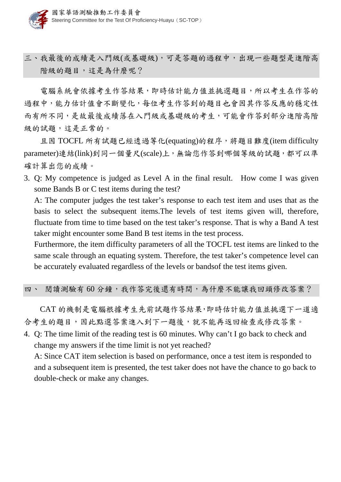三、我最後的成績是入門級(或基礎級),可是答題的過程中,出現一些題型是進階高 階級的題目,這是為什麼呢?

電腦系統會依據考生作答結果,即時估計能力值並挑選題目,所以考生在作答的 過程中,能力估計值會不斷變化,每位考生作答到的題目也會因其作答反應的穩定性 而有所不同,是故最後成績落在入門級或基礎級的考生,可能會作答到部分進階高階 級的試題,這是正常的。

且因 TOCFL 所有試題已經透過等化(equating)的程序,將題目難度(item difficulty parameter)連結(link)到同一個量尺(scale)上,無論您作答到哪個等級的試題,都可以準 確計算出您的成績。

3. Q: My competence is judged as Level A in the final result. How come I was given some Bands B or C test items during the test?

A: The computer judges the test taker's response to each test item and uses that as the basis to select the subsequent items.The levels of test items given will, therefore, fluctuate from time to time based on the test taker's response. That is why a Band A test taker might encounter some Band B test items in the test process.

Furthermore, the item difficulty parameters of all the TOCFL test items are linked to the same scale through an equating system. Therefore, the test taker's competence level can be accurately evaluated regardless of the levels or bandsof the test items given.

## 四、 閱讀測驗有60分鐘,我作答完後還有時間,為什麼不能讓我回頭修改答案?

CAT 的機制是電腦根據考生先前試題作答結果,即時估計能力值並挑選下一道適 合考生的題目,因此點選答案進入到下一題後,就不能再返回檢查或修改答案。

4. Q: The time limit of the reading test is 60 minutes. Why can't I go back to check and change my answers if the time limit is not yet reached?

A: Since CAT item selection is based on performance, once a test item is responded to and a subsequent item is presented, the test taker does not have the chance to go back to double-check or make any changes.